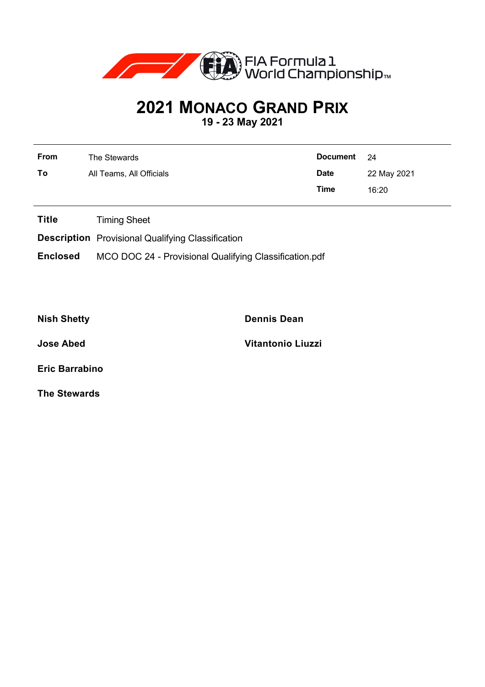

## **2021 MONACO GRAND PRIX**

**19 - 23 May 2021**

| From | The Stewards             | Document 24 |             |
|------|--------------------------|-------------|-------------|
| To   | All Teams, All Officials | <b>Date</b> | 22 May 2021 |
|      |                          | Time        | 16:20       |

**Title** Timing Sheet

**Description** Provisional Qualifying Classification

**Enclosed** MCO DOC 24 - Provisional Qualifying Classification.pdf

**Nish Shetty Dennis Dean**

**Jose Abed Vitantonio Liuzzi**

**Eric Barrabino**

**The Stewards**